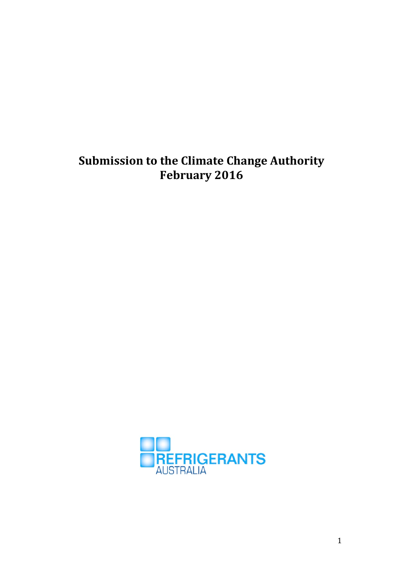# **Submission to the Climate Change Authority February 2016**

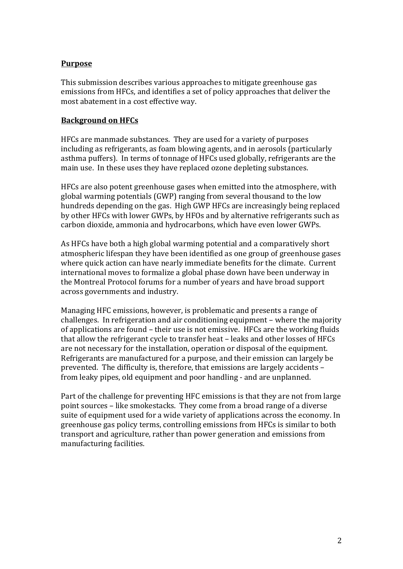## **Purpose**

This submission describes various approaches to mitigate greenhouse gas emissions from HFCs, and identifies a set of policy approaches that deliver the most abatement in a cost effective way.

#### **Background on HFCs**

HFCs are manmade substances. They are used for a variety of purposes including as refrigerants, as foam blowing agents, and in aerosols (particularly asthma puffers). In terms of tonnage of HFCs used globally, refrigerants are the main use. In these uses they have replaced ozone depleting substances.

HFCs are also potent greenhouse gases when emitted into the atmosphere, with global warming potentials (GWP) ranging from several thousand to the low hundreds depending on the gas. High GWP HFCs are increasingly being replaced by other HFCs with lower GWPs, by HFOs and by alternative refrigerants such as carbon dioxide, ammonia and hydrocarbons, which have even lower GWPs.

As HFCs have both a high global warming potential and a comparatively short atmospheric lifespan they have been identified as one group of greenhouse gases where quick action can have nearly immediate benefits for the climate. Current international moves to formalize a global phase down have been underway in the Montreal Protocol forums for a number of years and have broad support across governments and industry.

Managing HFC emissions, however, is problematic and presents a range of challenges. In refrigeration and air conditioning equipment  $-$  where the majority of applications are found – their use is not emissive. HFCs are the working fluids that allow the refrigerant cycle to transfer heat – leaks and other losses of HFCs are not necessary for the installation, operation or disposal of the equipment. Refrigerants are manufactured for a purpose, and their emission can largely be prevented. The difficulty is, therefore, that emissions are largely accidents  $$ from leaky pipes, old equipment and poor handling - and are unplanned.

Part of the challenge for preventing HFC emissions is that they are not from large point sources – like smokestacks. They come from a broad range of a diverse suite of equipment used for a wide variety of applications across the economy. In greenhouse gas policy terms, controlling emissions from HFCs is similar to both transport and agriculture, rather than power generation and emissions from manufacturing facilities.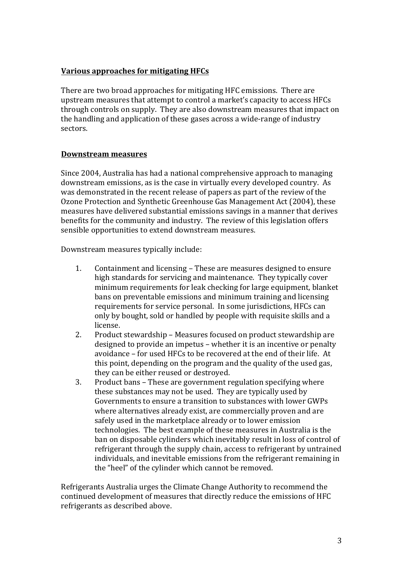# **Various approaches for mitigating HFCs**

There are two broad approaches for mitigating HFC emissions. There are upstream measures that attempt to control a market's capacity to access HFCs through controls on supply. They are also downstream measures that impact on the handling and application of these gases across a wide-range of industry sectors.

## **Downstream measures**

Since 2004, Australia has had a national comprehensive approach to managing downstream emissions, as is the case in virtually every developed country. As was demonstrated in the recent release of papers as part of the review of the Ozone Protection and Synthetic Greenhouse Gas Management Act (2004), these measures have delivered substantial emissions savings in a manner that derives benefits for the community and industry. The review of this legislation offers sensible opportunities to extend downstream measures.

Downstream measures typically include:

- 1. Containment and licensing These are measures designed to ensure high standards for servicing and maintenance. They typically cover minimum requirements for leak checking for large equipment, blanket bans on preventable emissions and minimum training and licensing requirements for service personal. In some jurisdictions, HFCs can only by bought, sold or handled by people with requisite skills and a license.
- 2. Product stewardship Measures focused on product stewardship are designed to provide an impetus  $-$  whether it is an incentive or penalty avoidance - for used HFCs to be recovered at the end of their life. At this point, depending on the program and the quality of the used gas, they can be either reused or destroyed.
- 3. Product bans These are government regulation specifying where these substances may not be used. They are typically used by Governments to ensure a transition to substances with lower GWPs where alternatives already exist, are commercially proven and are safely used in the marketplace already or to lower emission technologies. The best example of these measures in Australia is the ban on disposable cylinders which inevitably result in loss of control of refrigerant through the supply chain, access to refrigerant by untrained individuals, and inevitable emissions from the refrigerant remaining in the "heel" of the cylinder which cannot be removed.

Refrigerants Australia urges the Climate Change Authority to recommend the continued development of measures that directly reduce the emissions of HFC refrigerants as described above.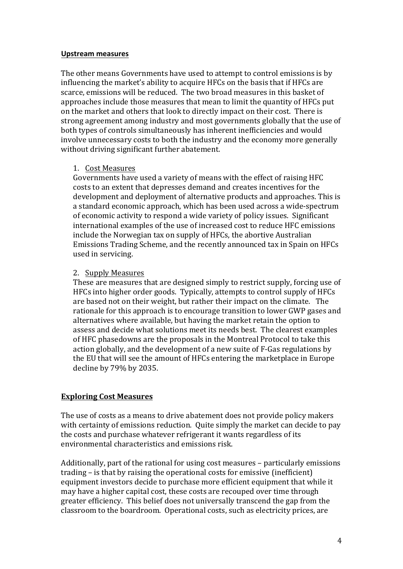#### **Upstream measures**

The other means Governments have used to attempt to control emissions is by influencing the market's ability to acquire HFCs on the basis that if HFCs are scarce, emissions will be reduced. The two broad measures in this basket of approaches include those measures that mean to limit the quantity of HFCs put on the market and others that look to directly impact on their cost. There is strong agreement among industry and most governments globally that the use of both types of controls simultaneously has inherent inefficiencies and would involve unnecessary costs to both the industry and the economy more generally without driving significant further abatement.

#### 1. Cost Measures

Governments have used a variety of means with the effect of raising HFC costs to an extent that depresses demand and creates incentives for the development and deployment of alternative products and approaches. This is a standard economic approach, which has been used across a wide-spectrum of economic activity to respond a wide variety of policy issues. Significant international examples of the use of increased cost to reduce HFC emissions include the Norwegian tax on supply of HFCs, the abortive Australian Emissions Trading Scheme, and the recently announced tax in Spain on HFCs used in servicing.

## 2. Supply Measures

These are measures that are designed simply to restrict supply, forcing use of HFCs into higher order goods. Typically, attempts to control supply of HFCs are based not on their weight, but rather their impact on the climate. The rationale for this approach is to encourage transition to lower GWP gases and alternatives where available, but having the market retain the option to assess and decide what solutions meet its needs best. The clearest examples of HFC phasedowns are the proposals in the Montreal Protocol to take this action globally, and the development of a new suite of F-Gas regulations by the EU that will see the amount of HFCs entering the marketplace in Europe decline by 79% by 2035.

## **Exploring Cost Measures**

The use of costs as a means to drive abatement does not provide policy makers with certainty of emissions reduction. Ouite simply the market can decide to pay the costs and purchase whatever refrigerant it wants regardless of its environmental characteristics and emissions risk.

Additionally, part of the rational for using cost measures  $-$  particularly emissions trading  $-$  is that by raising the operational costs for emissive (inefficient) equipment investors decide to purchase more efficient equipment that while it may have a higher capital cost, these costs are recouped over time through greater efficiency. This belief does not universally transcend the gap from the classroom to the boardroom. Operational costs, such as electricity prices, are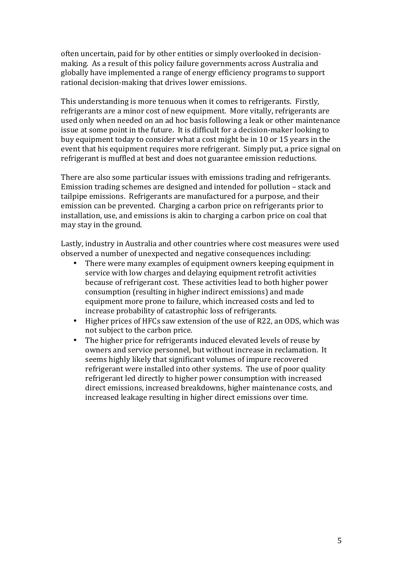often uncertain, paid for by other entities or simply overlooked in decisionmaking. As a result of this policy failure governments across Australia and globally have implemented a range of energy efficiency programs to support rational decision-making that drives lower emissions.

This understanding is more tenuous when it comes to refrigerants. Firstly, refrigerants are a minor cost of new equipment. More vitally, refrigerants are used only when needed on an ad hoc basis following a leak or other maintenance issue at some point in the future. It is difficult for a decision-maker looking to buy equipment today to consider what a cost might be in 10 or 15 years in the event that his equipment requires more refrigerant. Simply put, a price signal on refrigerant is muffled at best and does not guarantee emission reductions.

There are also some particular issues with emissions trading and refrigerants. Emission trading schemes are designed and intended for pollution  $-$  stack and tailpipe emissions. Refrigerants are manufactured for a purpose, and their emission can be prevented. Charging a carbon price on refrigerants prior to installation, use, and emissions is akin to charging a carbon price on coal that may stay in the ground.

Lastly, industry in Australia and other countries where cost measures were used observed a number of unexpected and negative consequences including:

- There were many examples of equipment owners keeping equipment in service with low charges and delaying equipment retrofit activities because of refrigerant cost. These activities lead to both higher power consumption (resulting in higher indirect emissions) and made equipment more prone to failure, which increased costs and led to increase probability of catastrophic loss of refrigerants.
- Higher prices of HFCs saw extension of the use of R22, an ODS, which was not subject to the carbon price.
- The higher price for refrigerants induced elevated levels of reuse by owners and service personnel, but without increase in reclamation. It seems highly likely that significant volumes of impure recovered refrigerant were installed into other systems. The use of poor quality refrigerant led directly to higher power consumption with increased direct emissions, increased breakdowns, higher maintenance costs, and increased leakage resulting in higher direct emissions over time.